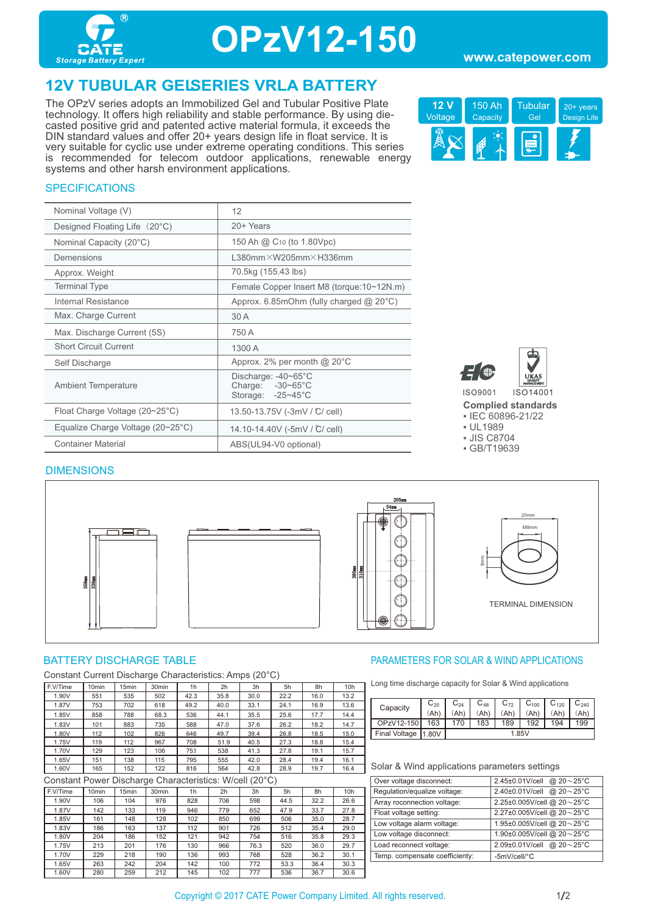

# **OPzV12-150**

#### **www.catepower.com**

## **12V TUBULAR GELSERIES VRLA BATTERY**

The OPzV series adopts an Immobilized Gel and Tubular Positive Plate technology. It offers high reliability and stable performance. By using diecasted positive grid and patented active material formula, it exceeds the DIN standard values and offer 20+ years design life in float service. It is very suitable for cyclic use under extreme operating conditions. This series is recommended for telecom outdoor applications, renewable energy systems and other harsh environment applications.



#### **SPECIFICATIONS**

| Nominal Voltage (V)                               | 12                                                           |
|---------------------------------------------------|--------------------------------------------------------------|
| Designed Floating Life (20°C)                     | 20+ Years                                                    |
| Nominal Capacity (20°C)                           | 150 Ah @ C <sub>10</sub> (to 1.80Vpc)                        |
| Demensions                                        | $L380$ mm $\times W205$ mm $\times H336$ mm                  |
| Approx. Weight                                    | 70.5kg (155.43 lbs)                                          |
| <b>Terminal Type</b>                              | Female Copper Insert M8 (torque:10~12N.m)                    |
| Internal Resistance                               | Approx. 6.85mOhm (fully charged $@$ 20 $°C$ )                |
| Max. Charge Current                               | 30 A                                                         |
| Max. Discharge Current (5S)                       | 750 A                                                        |
| <b>Short Circuit Current</b>                      | 1300 A                                                       |
| Self Discharge                                    | Approx. 2% per month $@$ 20 $°C$                             |
| <b>Ambient Temperature</b>                        | Discharge: -40~65°C<br>Charge: -30~65°C<br>Storage: -25~45°C |
| Float Charge Voltage (20~25°C)                    | 13.50-13.75V (-3mV / C/ cell)                                |
| Equalize Charge Voltage $(20~25~{\rm ^{\circ}C})$ | 14.10-14.40V (-5mV / C/ cell)                                |
| <b>Container Material</b>                         | ABS(UL94-V0 optional)                                        |



**Complied standards** 

▪ IEC 60896-21/22 ▪ UL1989

▪ JIS C8704

▪ GB/T19639

#### DIMENSIONS



Constant Current Discharge Characteristics: Amps (20°C)

| F.V/Time | 10 <sub>min</sub> | 15 <sub>min</sub> | 30 <sub>min</sub> | 1h   | 2 <sub>h</sub> | 3h   | 5h   | 8h   | 10h  |
|----------|-------------------|-------------------|-------------------|------|----------------|------|------|------|------|
| 1.90V    | 551               | 535               | 502               | 42.3 | 35.8           | 30.0 | 22.2 | 16.0 | 13.2 |
| 1.87V    | 753               | 702               | 618               | 49.2 | 40.0           | 33.1 | 24.1 | 16.9 | 13.6 |
| 1.85V    | 858               | 788               | 68.3              | 536  | 44.1           | 35.5 | 25.6 | 17.7 | 14.4 |
| 1.83V    | 101               | 883               | 735               | 588  | 47.0           | 37.6 | 26.2 | 18.2 | 14.7 |
| 1.80V    | 112               | 102               | 826               | 646  | 49.7           | 39.4 | 26.8 | 18.5 | 15.0 |
| 1.75V    | 119               | 112               | 967               | 708  | 51.9           | 40.5 | 27.3 | 18.8 | 15.4 |
| 1.70V    | 129               | 123               | 106               | 751  | 538            | 41.3 | 27.8 | 19.1 | 15.7 |
| 1.65V    | 151               | 138               | 115               | 795  | 555            | 42.0 | 28.4 | 19.4 | 16.1 |
| 1.60V    | 165               | 152               | 122               | 816  | 564            | 42.8 | 28.9 | 19.7 | 16.4 |

Constant Power Discharge Characteristics: W/cell (20°C)

| <u>Constant r Ower Discribition Characteristics. We can (20 C)</u> |                   |                   |                   |                |     |      |      |      |                 |
|--------------------------------------------------------------------|-------------------|-------------------|-------------------|----------------|-----|------|------|------|-----------------|
| F.V/Time                                                           | 10 <sub>min</sub> | 15 <sub>min</sub> | 30 <sub>min</sub> | 1 <sub>h</sub> | 2h  | 3h   | 5h   | 8h   | 10 <sub>h</sub> |
| 1.90V                                                              | 106               | 104               | 976               | 828            | 706 | 598  | 44.5 | 32.2 | 26.6            |
| 1.87V                                                              | 142               | 133               | 119               | 946            | 779 | 652  | 47.9 | 33.7 | 27.8            |
| 1.85V                                                              | 161               | 148               | 128               | 102            | 850 | 699  | 506  | 35.0 | 28.7            |
| 1.83V                                                              | 186               | 163               | 137               | 112            | 901 | 726  | 512  | 35.4 | 29.0            |
| 1.80V                                                              | 204               | 186               | 152               | 121            | 942 | 754  | 516  | 35.8 | 29.3            |
| 1.75V                                                              | 213               | 201               | 176               | 130            | 966 | 76.3 | 520  | 36.0 | 29.7            |
| 1.70V                                                              | 229               | 218               | 190               | 136            | 993 | 768  | 528  | 36.2 | 30.1            |
| 1.65V                                                              | 263               | 242               | 204               | 142            | 100 | 772  | 53.3 | 36.4 | 30.3            |
| 1.60V                                                              | 280               | 259               | 212               | 145            | 102 | 777  | 536  | 36.7 | 30.6            |

#### BATTERY DISCHARGE TABLE **External of the Solution State of the PARAMETERS FOR SOLAR & WIND APPLICATIONS**

Long time discharge capacity for Solar & Wind applications

| Capacity      | $C_{20}$ | $\mathbb{C}_{24}$ | $C_{48}$ | $C_{72}$ | $C_{100}$ | $C_{120}$ | $\mathsf{C}_{240}$ |
|---------------|----------|-------------------|----------|----------|-----------|-----------|--------------------|
|               | (Ah)     | Ah'               | Ah)      | (Ah)     | (Ah)      | Ah)       | (Ah)               |
| OPzV12-150    | 163      | 170               | 183      | 189      | 192       | 194       | 199                |
| Final Voltage | 11.80V   | 1.85V             |          |          |           |           |                    |

#### Solar & Wind applications parameters settings

| 2.45±0.01V/cell @ 20~25°C                |
|------------------------------------------|
|                                          |
| @ $20 - 25$ °C<br>2.40±0.01V/cell        |
| 2.25±0.005V/cell @ 20~25°C               |
| 2.27±0.005V/cell @ 20~25°C               |
| 1.95±0.005V/cell @ 20~25°C               |
| 1.90±0.005V/cell @ 20~25°C               |
| 2.09±0.01V/cell @ $20 \sim 25^{\circ}$ C |
| -5mV/cell/°C                             |
|                                          |